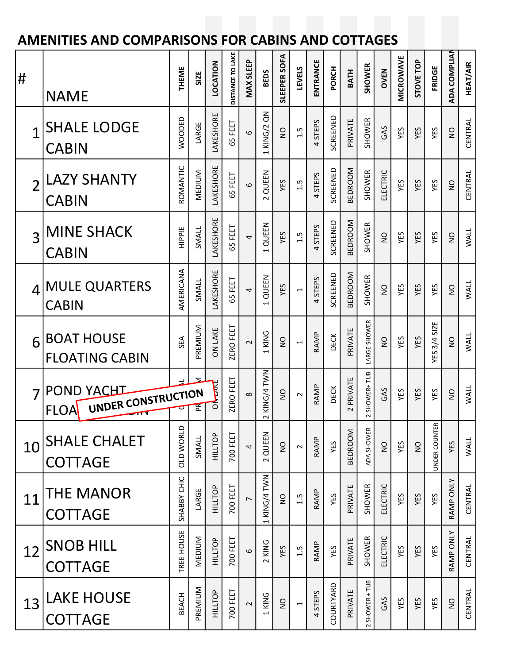## AMENITIES AND COMPARISONS FOR CABINS AND COTTAGES

| #              |                                                        | <b>THEME</b>     | SIZE         | LOCATION       | DISTANCE TO LAKE | <b>MAX SLEEP</b> | <b>BEDS</b>                       | SLEEPER SOFA   | <b>LEVELS</b>            | ENTRANCE | PORCH       | <b>BATH</b>                        | <b>SHOWER</b>  | <b>OVEN</b>   | <b>MICROWAVE</b> | STOVE TOP    | FRIDGE              | ADA COMPLIAN   | <b>HEAT/AIR</b> |  |
|----------------|--------------------------------------------------------|------------------|--------------|----------------|------------------|------------------|-----------------------------------|----------------|--------------------------|----------|-------------|------------------------------------|----------------|---------------|------------------|--------------|---------------------|----------------|-----------------|--|
|                | <b>NAME</b>                                            |                  |              |                |                  |                  |                                   |                |                          |          |             |                                    |                |               |                  |              |                     |                |                 |  |
|                | <b>SHALE LODGE</b><br><b>CABIN</b>                     | WOODED           | LARGE        | LAKESHORE      | 65 FEET          | 6                | KING/2 QN<br>$\overline{a}$       | $\frac{1}{2}$  | 1.5                      | 4 STEPS  | SCREENED    | PRIVATE                            | <b>SHOWER</b>  | GAS           | YES              | YES          | YES                 | $\frac{1}{2}$  | CENTRAL         |  |
| $\overline{2}$ | <b>LAZY SHANTY</b><br><b>CABIN</b>                     | ROMANTIC         | MEDIUM       | LAKESHORE      | 65 FEET          | 6                | 2 QUEEN                           | YES            | 1.5                      | 4 STEPS  | SCREENED    | BEDROOM                            | <b>SHOWER</b>  | ELECTRIC      | YES              | YES          | YES                 | $\overline{a}$ | CENTRAL         |  |
| 3              | <b>MINE SHACK</b><br><b>CABIN</b>                      | HIPPIE           | SMALL        | LAKESHORE      | 65 FEET          | 4                | 1 QUEEN                           | YES            | 1.5                      | 4 STEPS  | SCREENED    | BEDROOM                            | SHOWER         | $\frac{0}{2}$ | YES              | YES          | YES                 | $\frac{1}{2}$  | <b>WALL</b>     |  |
|                | 4 MULE QUARTERS<br><b>CABIN</b>                        | AMERICANA        | SMALL        | LAKESHORE      | 65 FEET          | 4                | QUEEN<br>$\overline{\phantom{0}}$ | YES            | $\overline{\phantom{0}}$ | 4 STEPS  | SCREENED    | <b>BEDROOM</b>                     | SHOWER         | $\frac{1}{2}$ | YES              | YES          | YES                 | $\overline{a}$ | <b>WALL</b>     |  |
| 6              | <b>BOAT HOUSE</b><br><b>FLOATING CABIN</b>             | SEA              | PREMIUM      | <b>ON LAKE</b> | ZERO FEET        | 2                | 1 KING                            | $\frac{0}{2}$  | $\overline{ }$           | RAMP     | <b>DECK</b> | PRIVATE                            | LARGE SHOWER   | $\frac{0}{2}$ | YES              | YES          | <b>YES 3/4 SIZE</b> | $\overline{a}$ | <b>WALL</b>     |  |
|                | <b>POND YACHT</b><br>UNDER CONSTRUCTION<br><b>FLOA</b> |                  | $\mathbf{z}$ | THE<br>័       | ZERO FEET        | 8                | KING/4 TWN<br>$\sim$              | $\frac{0}{2}$  | $\sim$                   | RAMP     | DECK        | PRIVATE<br>$\overline{\mathsf{C}}$ | 2 SHOWER+ TUB  | GAS           | YES              | YES          | YES                 | $\frac{1}{2}$  | <b>WALL</b>     |  |
|                | 10 SHALE CHALET<br><b>COTTAGE</b>                      | <b>OLD WORLD</b> | SMALL        | HILLTOP        | 700 FEET         | 4                | 2 QUEEN                           | $\overline{S}$ | $\sim$                   | RAMP     | YES         | BEDROOM                            | ADA SHOWER     | $\mathsf{S}$  | YES              | $\mathsf{S}$ | UNDER COUNTER       | YES            | <b>WALL</b>     |  |
| 11             | <b>THE MANOR</b><br><b>COTTAGE</b>                     | SHABBY CHIC      | LARGE        | HILLTOP        | 700 FEET         | L                | 1 KING/4 TWN                      | g              | 1.5                      | RAMP     | YES         | PRIVATE                            | SHOWER         | ELECTRIC      | YES              | YES          | YES                 | RAMP ONLY      | <b>CENTRAL</b>  |  |
| 12             | <b>SNOB HILL</b><br><b>COTTAGE</b>                     | TREE HOUSE       | MEDIUM       | HILLTOP        | 700 FEET         | 6                | 2 KING                            | YES            | 1.5                      | RAMP     | YES         | PRIVATE                            | SHOWER         | ELECTRIC      | YES              | YES          | YES                 | RAMP ONLY      | CENTRAL         |  |
|                | 13 LAKE HOUSE<br><b>COTTAGE</b>                        | <b>BEACH</b>     | PREMIUM      | HILLTOP        | 700 FEET         | 2                | 1 KING                            | $\frac{0}{2}$  | 1                        | 4 STEPS  | COURTYARD   | PRIVATE                            | 2 SHOWER + TUB | GAS           | YES              | YES          | YES                 | $\overline{a}$ | CENTRAL         |  |